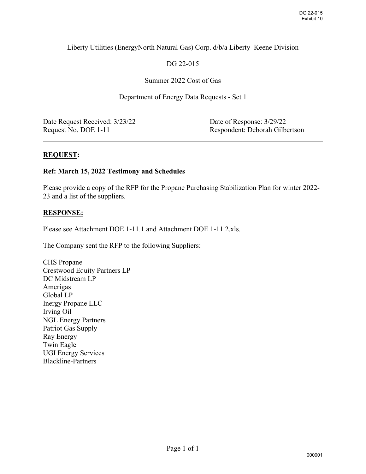## Liberty Utilities (EnergyNorth Natural Gas) Corp. d/b/a Liberty–Keene Division

# DG 22-015

## Summer 2022 Cost of Gas

## Department of Energy Data Requests - Set 1

Date Request Received:  $3/23/22$  Date of Response:  $3/29/22$ 

Request No. DOE 1-11 Respondent: Deborah Gilbertson

 $\overline{a}$ 

## **REQUEST:**

## **Ref: March 15, 2022 Testimony and Schedules**

Please provide a copy of the RFP for the Propane Purchasing Stabilization Plan for winter 2022- 23 and a list of the suppliers.

## **RESPONSE:**

Please see Attachment DOE 1-11.1 and Attachment DOE 1-11.2.xls.

The Company sent the RFP to the following Suppliers:

CHS Propane Crestwood Equity Partners LP DC Midstream LP Amerigas Global LP Inergy Propane LLC Irving Oil NGL Energy Partners Patriot Gas Supply Ray Energy Twin Eagle UGI Energy Services Blackline-Partners